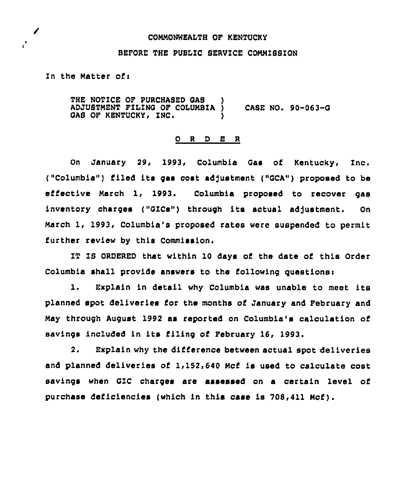## COMMONWEALTH OF KENTUCKY

## BEFORE THE PUBLZC SERVICE COMMISSION

In the Matter ofi

✔

 $\mathbf{r}^{\bullet}$ 

THE NOTICE OF PURCHASED GAS )<br>ADJUSTMENT FILING OF COLUMBIA ) ADJUSTMENT FILING OF COLUMBIA ) CASE NO. 90-063-Q GAS OF KENTUCKY, INC.

## ORDER

On January 29, 1993, Columbia Qas of Kentucky, Znc. ("Columbia") filed its gas cost adjustment ("GCA") proposed to be effective March 1, 1993. Columbia proposed to recover gas inventory charges ("QZCs") through its actual adjustment. On March 1, 1993, Columbia's proposed rates were suspended to permit further review by this Commission.

IT IS ORDERED that within 10 days of the date of this Order Columbia shall provide answers to the following questions:

1. Explain in detail why Cclumbia was unable to meet its planned spot deliveries for the months of January and February and May through August 1992 as reported on Columbia's calculation of savings included in its filing of February 16, 1993.

2, Explain why the difference between actual spot deliveries and planned deliveries of 1,152,640 Mcf is used to calculate cost savings when QIC charges are assessed on a certain level of purchase deficiencies (which in this case is 708,411 Mcf).